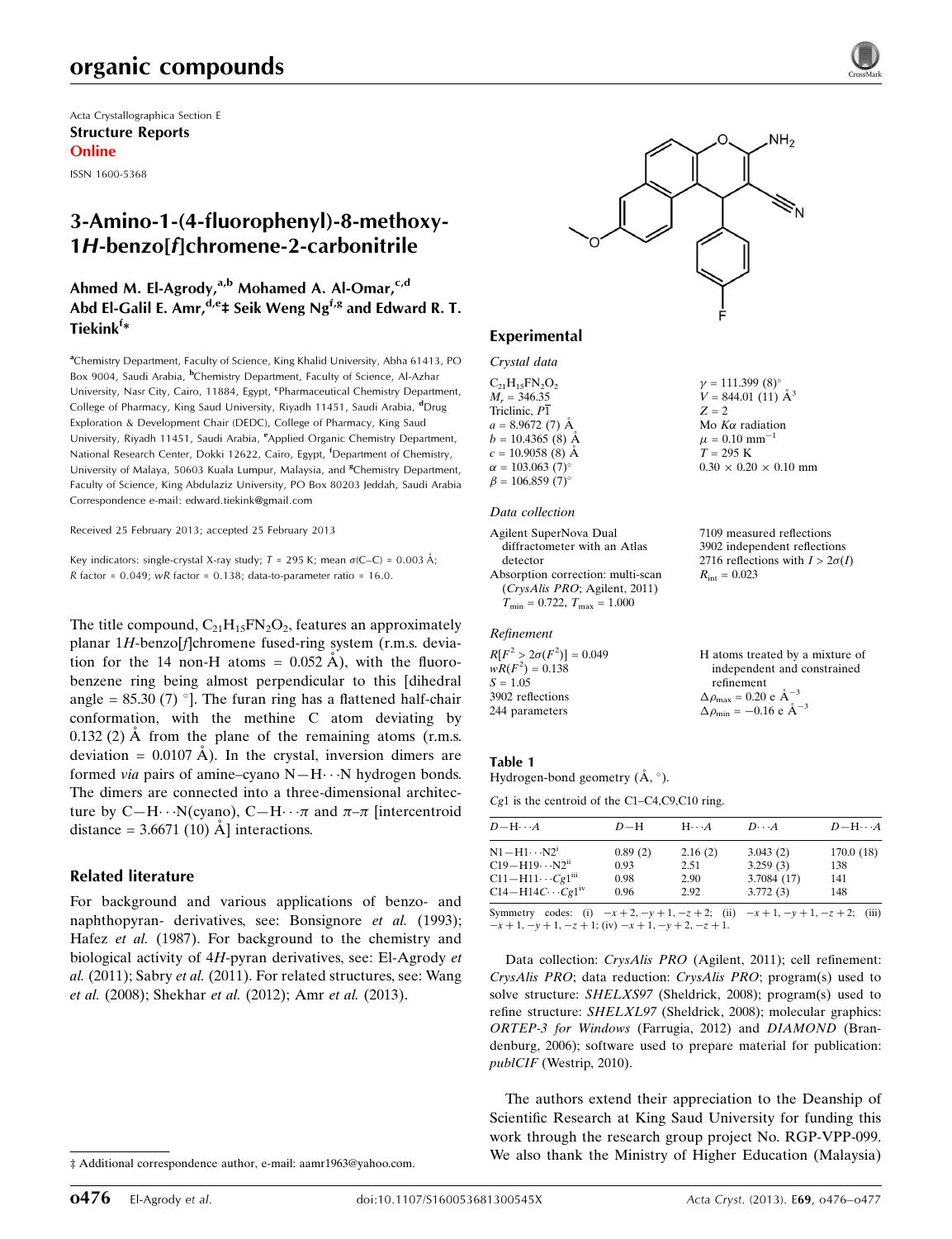# organic compounds

Acta Crystallographica Section E Structure Reports Online

ISSN 1600-5368

## 3-Amino-1-(4-fluorophenyl)-8-methoxy-1H-benzo[f]chromene-2-carbonitrile

## Ahmed M. El-Agrody,<sup>a,b</sup> Mohamed A. Al-Omar,<sup>c,d</sup> Abd El-Galil E. Amr,  $d,e_1$  Seik Weng Ng<sup>f,g</sup> and Edward R. T. Tiekink<sup>f</sup>\*

<sup>a</sup>Chemistry Department, Faculty of Science, King Khalid University, Abha 61413, PO Box 9004, Saudi Arabia, <sup>b</sup>Chemistry Department, Faculty of Science, Al-Azhar University, Nasr City, Cairo, 11884, Egypt, <sup>c</sup>Pharmaceutical Chemistry Department, College of Pharmacy, King Saud University, Riyadh 11451, Saudi Arabia, <sup>d</sup>Drug Exploration & Development Chair (DEDC), College of Pharmacy, King Saud University, Riyadh 11451, Saudi Arabia, <sup>e</sup>Applied Organic Chemistry Department, National Research Center, Dokki 12622, Cairo, Egypt, <sup>f</sup>Department of Chemistry, University of Malaya, 50603 Kuala Lumpur, Malaysia, and <sup>8</sup>Chemistry Department, Faculty of Science, King Abdulaziz University, PO Box 80203 Jeddah, Saudi Arabia Correspondence e-mail: [edward.tiekink@gmail.com](https://scripts.iucr.org/cgi-bin/cr.cgi?rm=pdfbb&cnor=hb7047&bbid=BB12)

Received 25 February 2013; accepted 25 February 2013

Key indicators: single-crystal X-ray study;  $T = 295$  K; mean  $\sigma$ (C–C) = 0.003 Å; R factor =  $0.049$ ; wR factor =  $0.138$ ; data-to-parameter ratio = 16.0.

The title compound,  $C_{21}H_{15}FN_{2}O_{2}$ , features an approximately planar 1H-benzo[f]chromene fused-ring system (r.m.s. deviation for the 14 non-H atoms =  $0.052 \text{ Å}$ ), with the fluorobenzene ring being almost perpendicular to this [dihedral angle =  $85.30(7)$  °]. The furan ring has a flattened half-chair conformation, with the methine C atom deviating by  $0.132$  (2) Å from the plane of the remaining atoms (r.m.s. deviation =  $0.0107 \text{ Å}$ ). In the crystal, inversion dimers are formed *via* pairs of amine–cyano  $N-H\cdots N$  hydrogen bonds. The dimers are connected into a three-dimensional architecture by C—H $\cdots$ N(cyano), C—H $\cdots \pi$  and  $\pi-\pi$  [intercentroid distance =  $3.6671(10)$  Å ] interactions.

#### Related literature

For background and various applications of benzo- and naphthopyran- derivatives, see: Bonsignore et al. (1993); Hafez et al. (1987). For background to the chemistry and biological activity of 4H-pyran derivatives, see: El-Agrody et al. (2011); Sabry et al. (2011). For related structures, see: Wang et al. (2008); Shekhar et al. (2012); Amr et al. (2013).



### Experimental

#### Crystal data

 $C_{21}H_{15}FN_{2}O_{2}$  $M_r = 346.35$ Triclinic, P1  $a = 8.9672(7)$  Å  $b = 10.4365(8)$  Å  $c = 10.9058$  (8) Å  $\alpha = 103.063$  (7)<sup>o</sup>  $\beta = 106.859 (7)$ °

#### Data collection

Agilent SuperNova Dual diffractometer with an Atlas detector Absorption correction: multi-scan (CrysAlis PRO; Agilent, 2011)  $T_{\text{min}} = 0.722, T_{\text{max}} = 1.000$ 

Refinement

 $R[F^2 > 2\sigma(F^2)] = 0.049$  $wR(F^2) = 0.138$  $S = 1.05$ 3902 reflections 244 parameters

# $T = 295 K$  $0.30 \times 0.20 \times 0.10$  mm

 $\gamma = 111.399 (8)^{\circ}$  $V = 844.01(11)$   $\AA^3$ 

Mo  $K\alpha$  radiation  $\mu = 0.10$  mm<sup>-1</sup>

 $Z = 2$ 

7109 measured reflections 3902 independent reflections 2716 reflections with  $I > 2\sigma(I)$  $R_{\rm int} = 0.023$ 

H atoms treated by a mixture of independent and constrained refinement  $\Delta \rho_{\text{max}} = 0.20 \text{ e } \text{\AA}_{\text{\tiny s}}^{-3}$  $\Delta \rho_{\text{min}} = -0.16 \text{ e A}^{-3}$ 

#### Table 1

Hydrogen-bond geometry  $(\AA, \degree)$ .

Cg1 is the centroid of the C1–C4,C9,C10 ring.

| $D - H \cdots A$                                                                          | $D-H$   | $H\cdots A$ | $D\cdots A$ | $D - H \cdots A$ |
|-------------------------------------------------------------------------------------------|---------|-------------|-------------|------------------|
| $N1 - H1 \cdots N2^1$                                                                     | 0.89(2) | 2.16(2)     | 3.043(2)    | 170.0(18)        |
| $C19 - H19 \cdots N2^{ii}$                                                                | 0.93    | 2.51        | 3.259(3)    | 138              |
| $C11 - H11 \cdots Cg1m$                                                                   | 0.98    | 2.90        | 3.7084 (17) | 141              |
| $C14-H14C\cdots Cg1^{iv}$                                                                 | 0.96    | 2.92        | 3.772(3)    | 148              |
| $\Omega$ and the contract $\Omega$ and the contract of the contract $\Omega$ and $\Omega$ |         |             |             |                  |

Symmetry codes: (i)  $-x + 2$ ,  $-y + 1$ ,  $-z + 2$ ; (ii)  $-x + 1$ ,  $-y + 1$ ,  $-z + 2$ ; (iii)  $-x + 1$ ,  $-y + 1$ ,  $-z + 1$ ; (iv)  $-x + 1$ ,  $-y + 2$ ,  $-z + 1$ .

Data collection: *CrysAlis PRO* (Agilent, 2011); cell refinement: CrysAlis PRO; data reduction: CrysAlis PRO; program(s) used to solve structure: SHELXS97 (Sheldrick, 2008); program(s) used to refine structure: SHELXL97 (Sheldrick, 2008); molecular graphics: ORTEP-3 for Windows (Farrugia, 2012) and DIAMOND (Brandenburg, 2006); software used to prepare material for publication: publCIF (Westrip, 2010).

The authors extend their appreciation to the Deanship of Scientific Research at King Saud University for funding this work through the research group project No. RGP-VPP-099. We also thank the Ministry of Higher Education (Malaysia)

<sup>‡</sup> Additional correspondence author, e-mail: aamr1963@yahoo.com.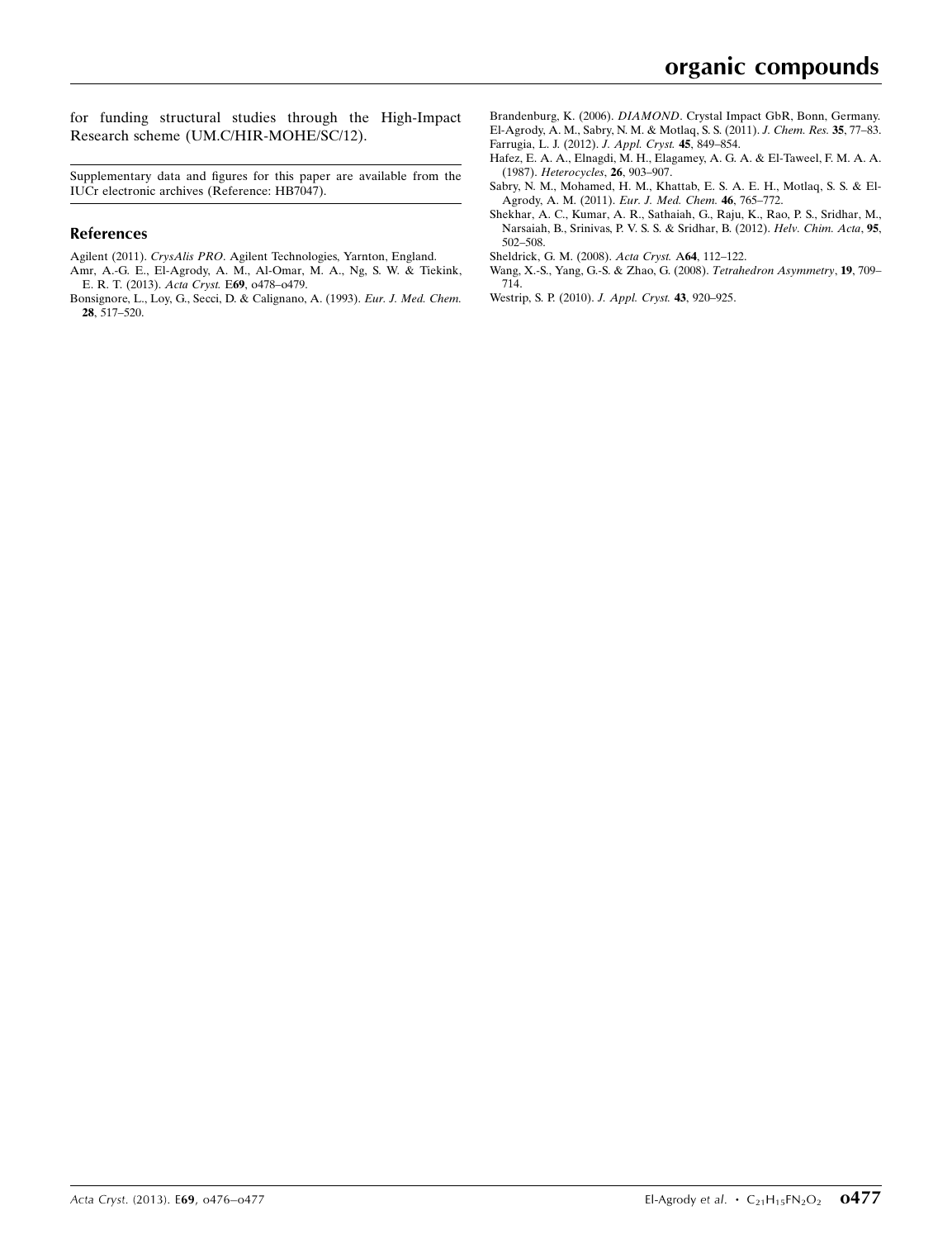for funding structural studies through the High-Impact Research scheme (UM.C/HIR-MOHE/SC/12).

Supplementary data and figures for this paper are available from the IUCr electronic archives (Reference: HB7047).

#### References

- Agilent (2011). CrysAlis PRO[. Agilent Technologies, Yarnton, England.](https://scripts.iucr.org/cgi-bin/cr.cgi?rm=pdfbb&cnor=hb7047&bbid=BB1) [Amr, A.-G. E., El-Agrody, A. M., Al-Omar, M. A., Ng, S. W. & Tiekink,](https://scripts.iucr.org/cgi-bin/cr.cgi?rm=pdfbb&cnor=hb7047&bbid=BB2)
- [E. R. T. \(2013\).](https://scripts.iucr.org/cgi-bin/cr.cgi?rm=pdfbb&cnor=hb7047&bbid=BB2) Acta Cryst. E69, o478–o479. [Bonsignore, L., Loy, G., Secci, D. & Calignano, A. \(1993\).](https://scripts.iucr.org/cgi-bin/cr.cgi?rm=pdfbb&cnor=hb7047&bbid=BB3) Eur. J. Med. Chem. 28[, 517–520.](https://scripts.iucr.org/cgi-bin/cr.cgi?rm=pdfbb&cnor=hb7047&bbid=BB3)

Brandenburg, K. (2006). DIAMOND[. Crystal Impact GbR, Bonn, Germany.](https://scripts.iucr.org/cgi-bin/cr.cgi?rm=pdfbb&cnor=hb7047&bbid=BB4) [El-Agrody, A. M., Sabry, N. M. & Motlaq, S. S. \(2011\).](https://scripts.iucr.org/cgi-bin/cr.cgi?rm=pdfbb&cnor=hb7047&bbid=BB5) J. Chem. Res. 35, 77–83. [Farrugia, L. J. \(2012\).](https://scripts.iucr.org/cgi-bin/cr.cgi?rm=pdfbb&cnor=hb7047&bbid=BB6) J. Appl. Cryst. 45, 849–854.

- [Hafez, E. A. A., Elnagdi, M. H., Elagamey, A. G. A. & El-Taweel, F. M. A. A.](https://scripts.iucr.org/cgi-bin/cr.cgi?rm=pdfbb&cnor=hb7047&bbid=BB7) (1987). [Heterocycles](https://scripts.iucr.org/cgi-bin/cr.cgi?rm=pdfbb&cnor=hb7047&bbid=BB7), 26, 903–907.
- [Sabry, N. M., Mohamed, H. M., Khattab, E. S. A. E. H., Motlaq, S. S. & El-](https://scripts.iucr.org/cgi-bin/cr.cgi?rm=pdfbb&cnor=hb7047&bbid=BB8)[Agrody, A. M. \(2011\).](https://scripts.iucr.org/cgi-bin/cr.cgi?rm=pdfbb&cnor=hb7047&bbid=BB8) Eur. J. Med. Chem. 46, 765–772.
- [Shekhar, A. C., Kumar, A. R., Sathaiah, G., Raju, K., Rao, P. S., Sridhar, M.,](https://scripts.iucr.org/cgi-bin/cr.cgi?rm=pdfbb&cnor=hb7047&bbid=BB9) [Narsaiah, B., Srinivas, P. V. S. S. & Sridhar, B. \(2012\).](https://scripts.iucr.org/cgi-bin/cr.cgi?rm=pdfbb&cnor=hb7047&bbid=BB9) Helv. Chim. Acta, 95, [502–508.](https://scripts.iucr.org/cgi-bin/cr.cgi?rm=pdfbb&cnor=hb7047&bbid=BB9)
- [Sheldrick, G. M. \(2008\).](https://scripts.iucr.org/cgi-bin/cr.cgi?rm=pdfbb&cnor=hb7047&bbid=BB10) Acta Cryst. A64, 112–122.
- [Wang, X.-S., Yang, G.-S. & Zhao, G. \(2008\).](https://scripts.iucr.org/cgi-bin/cr.cgi?rm=pdfbb&cnor=hb7047&bbid=BB11) Tetrahedron Asymmetry, 19, 709– [714.](https://scripts.iucr.org/cgi-bin/cr.cgi?rm=pdfbb&cnor=hb7047&bbid=BB11)
- [Westrip, S. P. \(2010\).](https://scripts.iucr.org/cgi-bin/cr.cgi?rm=pdfbb&cnor=hb7047&bbid=BB12) J. Appl. Cryst. 43, 920–925.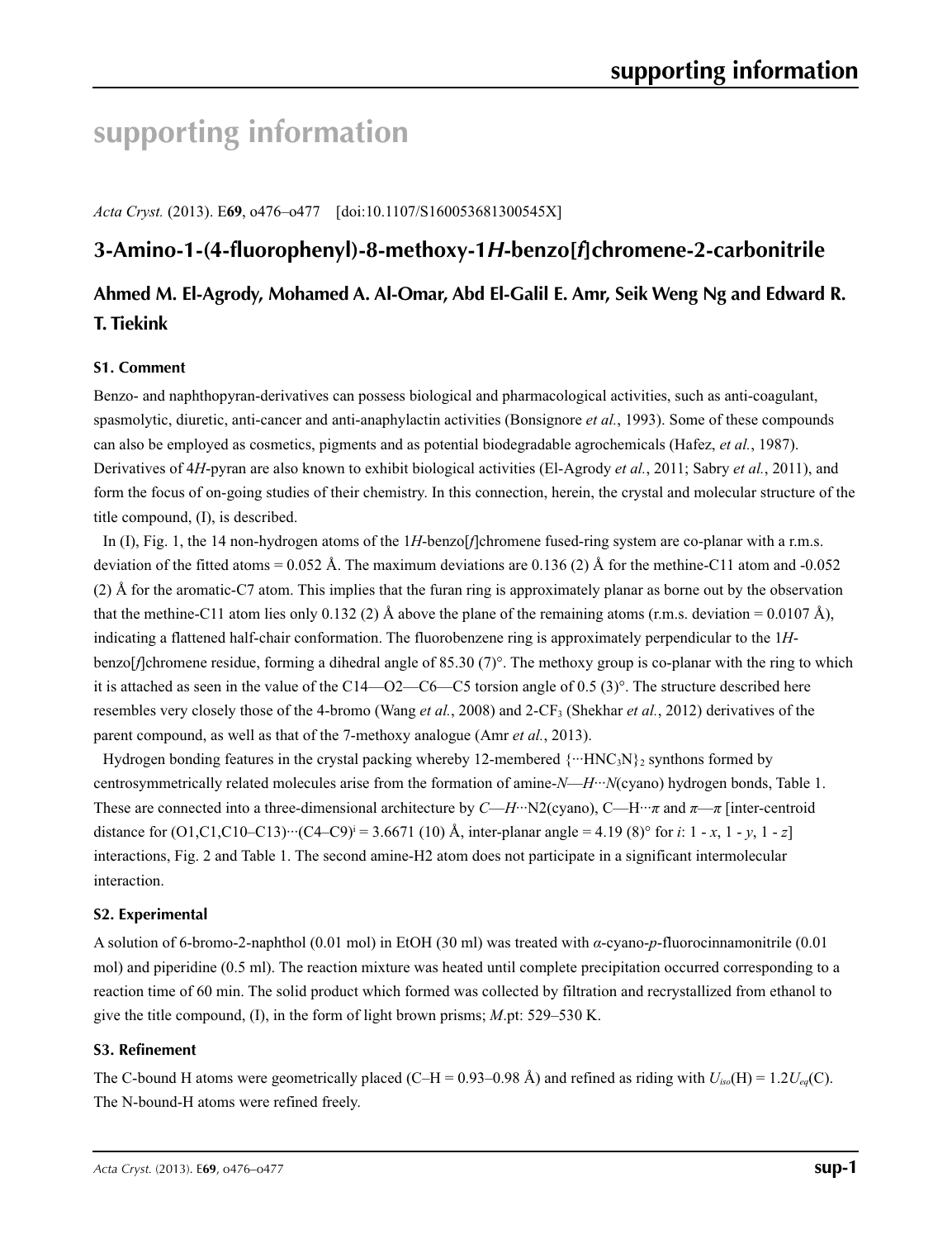# **supporting information**

*Acta Cryst.* (2013). E**69**, o476–o477 [doi:10.1107/S160053681300545X]

# **3-Amino-1-(4-fluorophenyl)-8-methoxy-1***H***-benzo[***f***]chromene-2-carbonitrile**

# **Ahmed M. El-Agrody, Mohamed A. Al-Omar, Abd El-Galil E. Amr, Seik Weng Ng and Edward R. T. Tiekink**

### **S1. Comment**

Benzo- and naphthopyran-derivatives can possess biological and pharmacological activities, such as anti-coagulant, spasmolytic, diuretic, anti-cancer and anti-anaphylactin activities (Bonsignore *et al.*, 1993). Some of these compounds can also be employed as cosmetics, pigments and as potential biodegradable agrochemicals (Hafez, *et al.*, 1987). Derivatives of 4*H*-pyran are also known to exhibit biological activities (El-Agrody *et al.*, 2011; Sabry *et al.*, 2011), and form the focus of on-going studies of their chemistry. In this connection, herein, the crystal and molecular structure of the title compound, (I), is described.

In (I), Fig. 1, the 14 non-hydrogen atoms of the 1*H*-benzo[*f*]chromene fused-ring system are co-planar with a r.m.s. deviation of the fitted atoms =  $0.052$  Å. The maximum deviations are  $0.136$  (2) Å for the methine-C11 atom and -0.052 (2) Å for the aromatic-C7 atom. This implies that the furan ring is approximately planar as borne out by the observation that the methine-C11 atom lies only 0.132 (2) Å above the plane of the remaining atoms (r.m.s. deviation = 0.0107 Å), indicating a flattened half-chair conformation. The fluorobenzene ring is approximately perpendicular to the 1*H*benzo[*f*]chromene residue, forming a dihedral angle of 85.30 (7)°. The methoxy group is co-planar with the ring to which it is attached as seen in the value of the C14—O2—C6—C5 torsion angle of 0.5 (3)°. The structure described here resembles very closely those of the 4-bromo (Wang *et al.*, 2008) and 2-CF<sub>3</sub> (Shekhar *et al.*, 2012) derivatives of the parent compound, as well as that of the 7-methoxy analogue (Amr *et al.*, 2013).

Hydrogen bonding features in the crystal packing whereby 12-membered  $\{\cdots HNC_3N\}_2$  synthons formed by centrosymmetrically related molecules arise from the formation of amine-*N*—*H*···*N*(cyano) hydrogen bonds, Table 1. These are connected into a three-dimensional architecture by *C*—*H*···N2(cyano), C—H···*π* and *π*—*π* [inter-centroid distance for  $(O1, C1, C10-C13)$   $\cdots$   $(C4-C9)$ <sup> $i = 3.6671$ </sup> (10) Å, inter-planar angle = 4.19 (8)<sup>o</sup> for *i*: 1 - *x*, 1 - *y*, 1 - *z*] interactions, Fig. 2 and Table 1. The second amine-H2 atom does not participate in a significant intermolecular interaction.

### **S2. Experimental**

A solution of 6-bromo-2-naphthol (0.01 mol) in EtOH (30 ml) was treated with *α*-cyano-*p*-fluorocinnamonitrile (0.01 mol) and piperidine (0.5 ml). The reaction mixture was heated until complete precipitation occurred corresponding to a reaction time of 60 min. The solid product which formed was collected by filtration and recrystallized from ethanol to give the title compound, (I), in the form of light brown prisms; *M*.pt: 529–530 K.

#### **S3. Refinement**

The C-bound H atoms were geometrically placed (C–H = 0.93–0.98 Å) and refined as riding with  $U_{iso}(H) = 1.2U_{eq}(C)$ . The N-bound-H atoms were refined freely.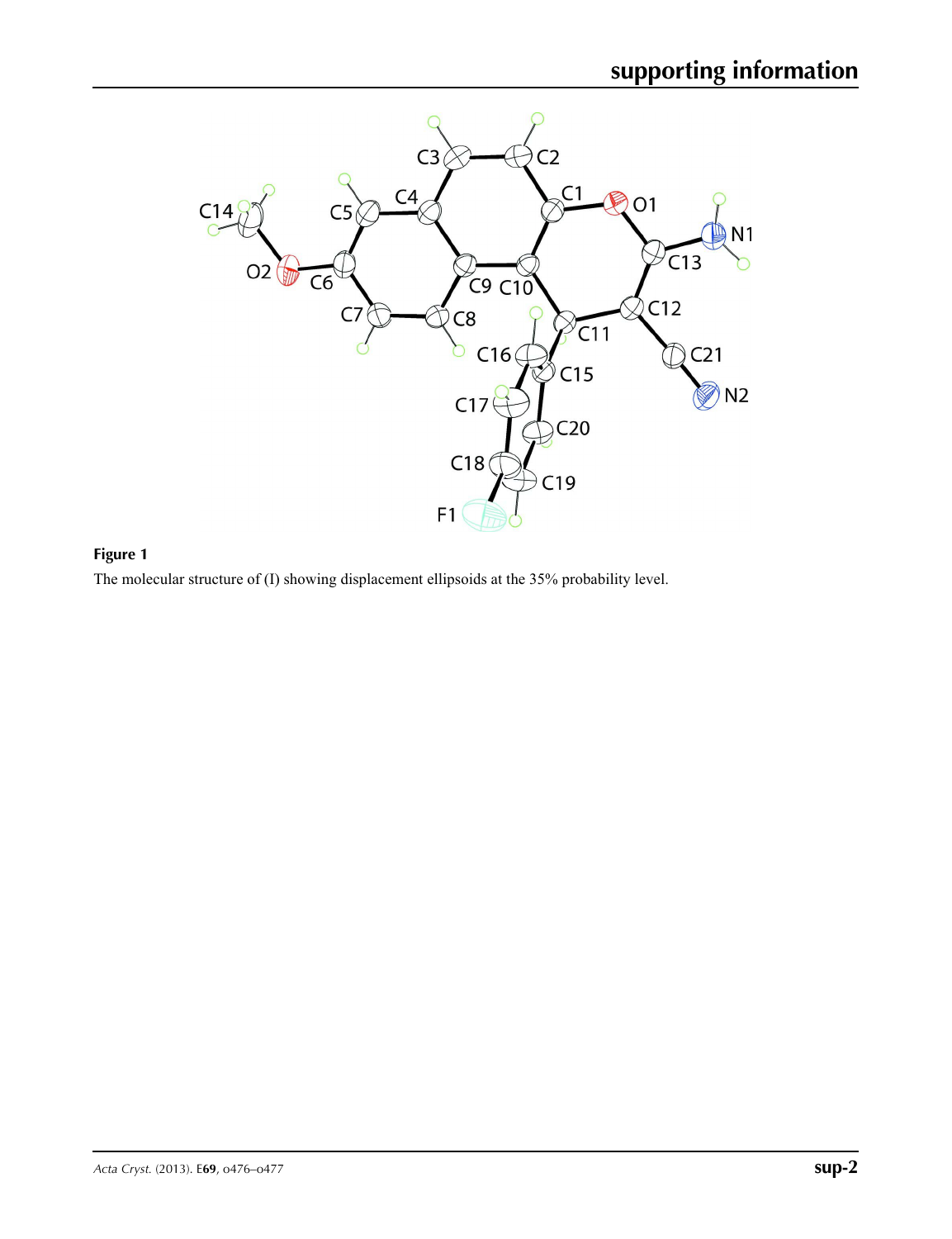

## **Figure 1**

The molecular structure of (I) showing displacement ellipsoids at the 35% probability level.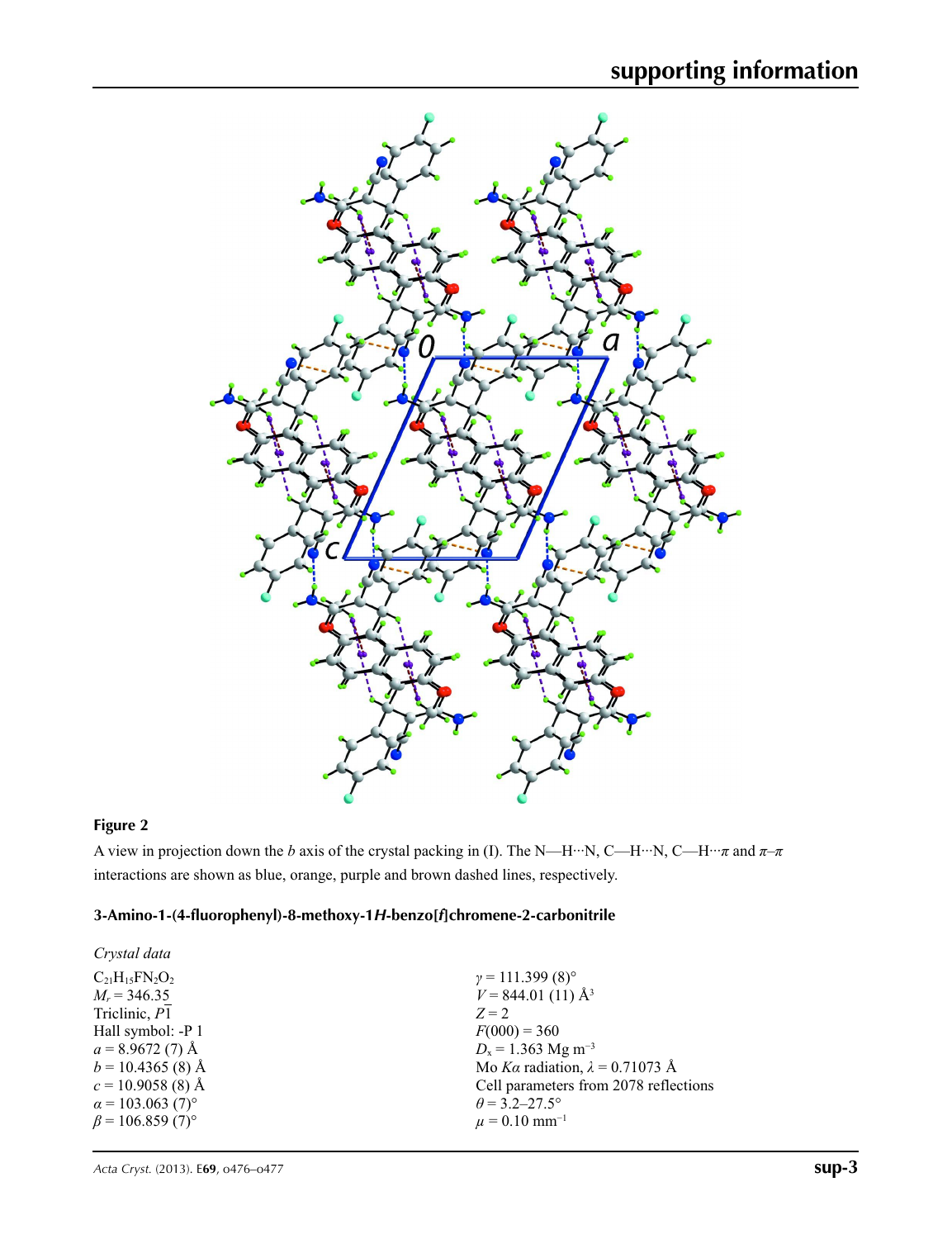

## **Figure 2**

A view in projection down the *b* axis of the crystal packing in (I). The N—H···N, C—H···N, C—H···*π* and *π*–*π* interactions are shown as blue, orange, purple and brown dashed lines, respectively.

## **3-Amino-1-(4-fluorophenyl)-8-methoxy-1***H***-benzo[***f***]chromene-2-carbonitrile**

| Crystal data                        |                                        |
|-------------------------------------|----------------------------------------|
| $C_{21}H_{15}FN_{2}O_{2}$           | $\gamma = 111.399(8)^{\circ}$          |
| $M_r = 346.35$                      | $V = 844.01(11)$ Å <sup>3</sup>        |
| Triclinic, P1                       | $Z=2$                                  |
| Hall symbol: -P 1                   | $F(000) = 360$                         |
| $a = 8.9672(7)$ Å                   | $D_x = 1.363$ Mg m <sup>-3</sup>       |
| $b = 10.4365$ (8) Å                 | Mo Ka radiation, $\lambda = 0.71073$ Å |
| $c = 10.9058(8)$ Å                  | Cell parameters from 2078 reflections  |
| $\alpha$ = 103.063 (7) <sup>o</sup> | $\theta$ = 3.2–27.5°                   |
| $\beta$ = 106.859 (7) <sup>o</sup>  | $\mu = 0.10$ mm <sup>-1</sup>          |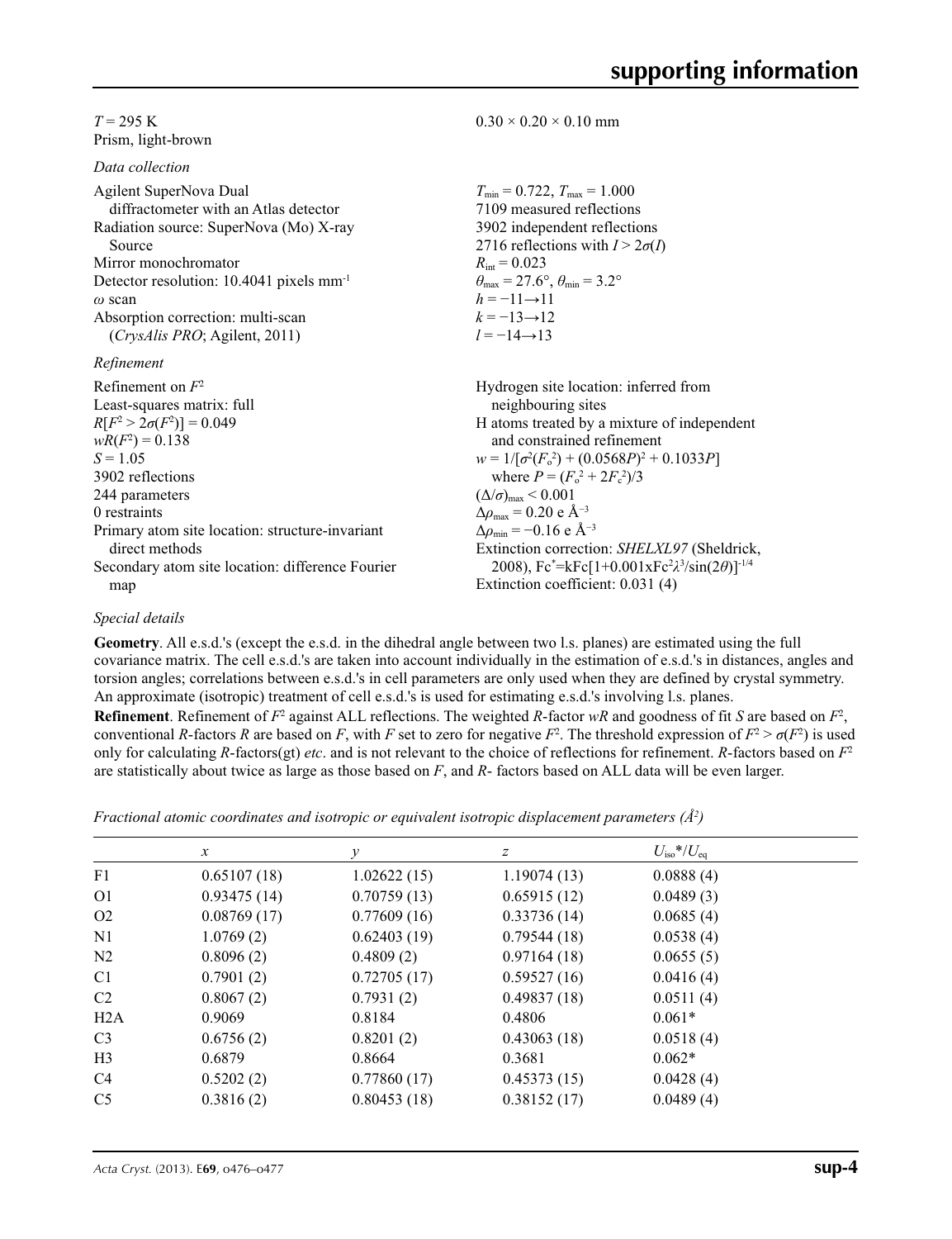#### $T = 295$  K Prism, light-brown

*Data collection*

| Agilent SuperNova Dual                               | $T_{\min} = 0.722$ , $T_{\max} = 1.000$                                                          |
|------------------------------------------------------|--------------------------------------------------------------------------------------------------|
| diffractometer with an Atlas detector                | 7109 measured reflections                                                                        |
| Radiation source: SuperNova (Mo) X-ray               | 3902 independent reflections                                                                     |
| Source                                               | 2716 reflections with $I > 2\sigma(I)$                                                           |
| Mirror monochromator                                 | $R_{\text{int}} = 0.023$                                                                         |
| Detector resolution: 10.4041 pixels mm <sup>-1</sup> | $\theta_{\text{max}} = 27.6^{\circ}, \theta_{\text{min}} = 3.2^{\circ}$                          |
| $\omega$ scan                                        | $h = -11 \rightarrow 11$                                                                         |
| Absorption correction: multi-scan                    | $k = -13 \rightarrow 12$                                                                         |
| (CrysAlis PRO; Agilent, 2011)                        | $l = -14 \rightarrow 13$                                                                         |
| Refinement                                           |                                                                                                  |
| Refinement on $F^2$                                  | Hydrogen site location: inferred from                                                            |
| Least-squares matrix: full                           | neighbouring sites                                                                               |
| $R[F^2 > 2\sigma(F^2)] = 0.049$                      | H atoms treated by a mixture of independent                                                      |
| $wR(F^2) = 0.138$                                    | and constrained refinement                                                                       |
| $S = 1.05$                                           | $w = 1/[\sigma^2(F_0^2) + (0.0568P)^2 + 0.1033P]$                                                |
| 3902 reflections                                     | where $P = (F_0^2 + 2F_c^2)/3$                                                                   |
| 244 parameters                                       | $(\Delta/\sigma)_{\text{max}}$ < 0.001                                                           |
| 0 restraints                                         | $\Delta\rho_{\text{max}}$ = 0.20 e Å <sup>-3</sup>                                               |
| Primary atom site location: structure-invariant      | $\Delta\rho_{\rm min} = -0.16$ e Å <sup>-3</sup>                                                 |
| direct methods                                       | Extinction correction: SHELXL97 (Sheldrick,                                                      |
| Secondary atom site location: difference Fourier     | 2008), Fc*=kFc[1+0.001xFc <sup>2</sup> $\lambda$ <sup>3</sup> /sin(2 $\theta$ )] <sup>-1/4</sup> |
| map                                                  | Extinction coefficient: 0.031 (4)                                                                |

 $0.30 \times 0.20 \times 0.10$  mm

#### *Special details*

**Geometry**. All e.s.d.'s (except the e.s.d. in the dihedral angle between two l.s. planes) are estimated using the full covariance matrix. The cell e.s.d.'s are taken into account individually in the estimation of e.s.d.'s in distances, angles and torsion angles; correlations between e.s.d.'s in cell parameters are only used when they are defined by crystal symmetry. An approximate (isotropic) treatment of cell e.s.d.'s is used for estimating e.s.d.'s involving l.s. planes.

**Refinement**. Refinement of  $F^2$  against ALL reflections. The weighted R-factor wR and goodness of fit *S* are based on  $F^2$ , conventional *R*-factors *R* are based on *F*, with *F* set to zero for negative  $F^2$ . The threshold expression of  $F^2 > \sigma(F^2)$  is used only for calculating *R*-factors(gt) *etc*. and is not relevant to the choice of reflections for refinement. *R*-factors based on *F*<sup>2</sup> are statistically about twice as large as those based on *F*, and *R*- factors based on ALL data will be even larger.

*Fractional atomic coordinates and isotropic or equivalent isotropic displacement parameters (Å<sup>2</sup>)* 

|                | $\mathcal{X}$ | $\mathcal V$ | $\boldsymbol{Z}$ | $U_{\rm iso}*/U_{\rm eq}$ |  |
|----------------|---------------|--------------|------------------|---------------------------|--|
| F1             | 0.65107(18)   | 1.02622(15)  | 1.19074(13)      | 0.0888(4)                 |  |
| O <sub>1</sub> | 0.93475(14)   | 0.70759(13)  | 0.65915(12)      | 0.0489(3)                 |  |
| O <sub>2</sub> | 0.08769(17)   | 0.77609(16)  | 0.33736(14)      | 0.0685(4)                 |  |
| N <sub>1</sub> | 1.0769(2)     | 0.62403(19)  | 0.79544(18)      | 0.0538(4)                 |  |
| N <sub>2</sub> | 0.8096(2)     | 0.4809(2)    | 0.97164(18)      | 0.0655(5)                 |  |
| C <sub>1</sub> | 0.7901(2)     | 0.72705(17)  | 0.59527(16)      | 0.0416(4)                 |  |
| C2             | 0.8067(2)     | 0.7931(2)    | 0.49837(18)      | 0.0511(4)                 |  |
| H2A            | 0.9069        | 0.8184       | 0.4806           | $0.061*$                  |  |
| C <sub>3</sub> | 0.6756(2)     | 0.8201(2)    | 0.43063(18)      | 0.0518(4)                 |  |
| H <sub>3</sub> | 0.6879        | 0.8664       | 0.3681           | $0.062*$                  |  |
| C <sub>4</sub> | 0.5202(2)     | 0.77860(17)  | 0.45373(15)      | 0.0428(4)                 |  |
| C <sub>5</sub> | 0.3816(2)     | 0.80453(18)  | 0.38152(17)      | 0.0489(4)                 |  |
|                |               |              |                  |                           |  |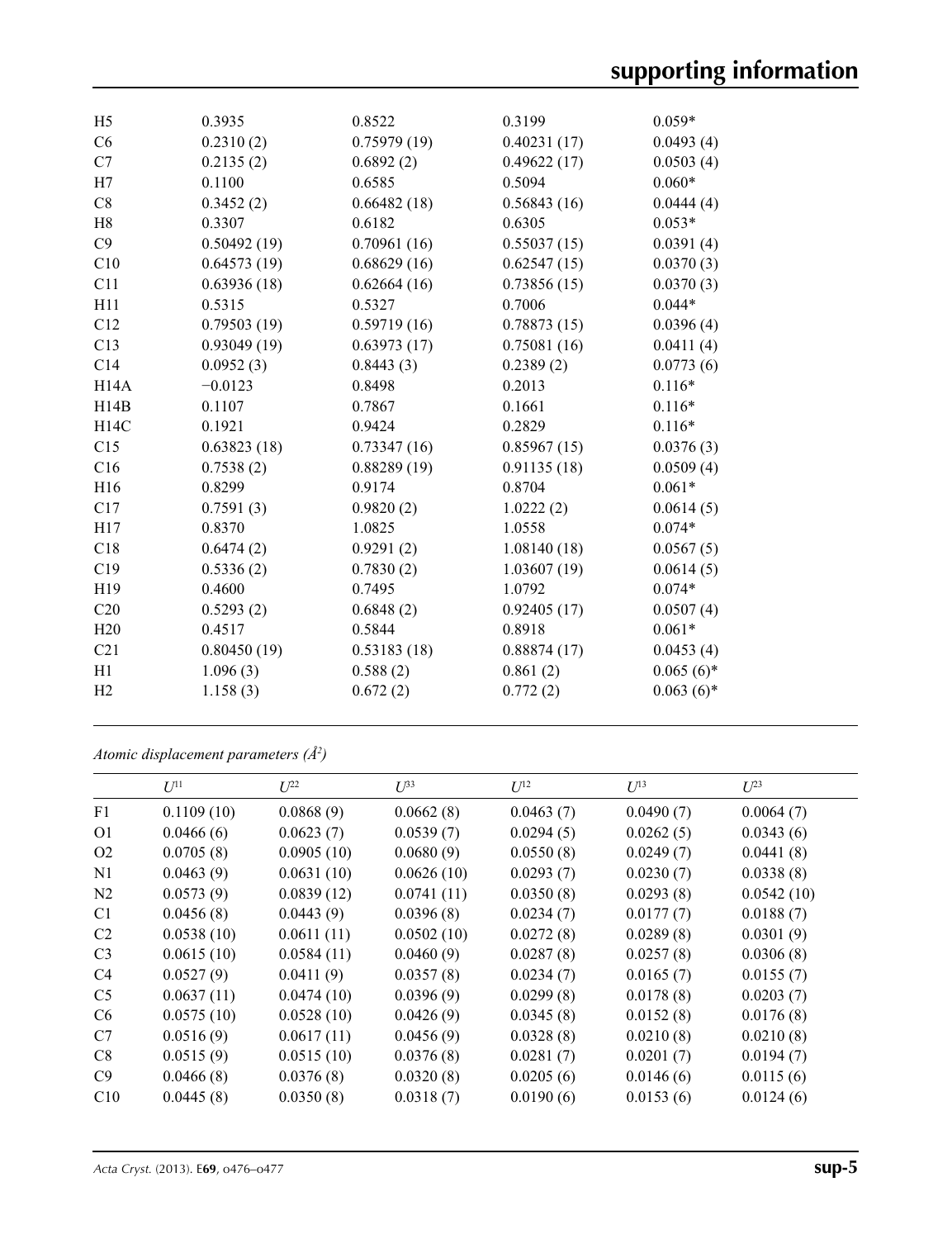| H <sub>5</sub>  | 0.3935      | 0.8522      | 0.3199      | $0.059*$     |
|-----------------|-------------|-------------|-------------|--------------|
| C6              | 0.2310(2)   | 0.75979(19) | 0.40231(17) | 0.0493(4)    |
| C7              | 0.2135(2)   | 0.6892(2)   | 0.49622(17) | 0.0503(4)    |
| H7              | 0.1100      | 0.6585      | 0.5094      | $0.060*$     |
| C8              | 0.3452(2)   | 0.66482(18) | 0.56843(16) | 0.0444(4)    |
| H8              | 0.3307      | 0.6182      | 0.6305      | $0.053*$     |
| C9              | 0.50492(19) | 0.70961(16) | 0.55037(15) | 0.0391(4)    |
| C10             | 0.64573(19) | 0.68629(16) | 0.62547(15) | 0.0370(3)    |
| C11             | 0.63936(18) | 0.62664(16) | 0.73856(15) | 0.0370(3)    |
| H11             | 0.5315      | 0.5327      | 0.7006      | $0.044*$     |
| C12             | 0.79503(19) | 0.59719(16) | 0.78873(15) | 0.0396(4)    |
| C13             | 0.93049(19) | 0.63973(17) | 0.75081(16) | 0.0411(4)    |
| C14             | 0.0952(3)   | 0.8443(3)   | 0.2389(2)   | 0.0773(6)    |
| H14A            | $-0.0123$   | 0.8498      | 0.2013      | $0.116*$     |
| H14B            | 0.1107      | 0.7867      | 0.1661      | $0.116*$     |
| H14C            | 0.1921      | 0.9424      | 0.2829      | $0.116*$     |
| C15             | 0.63823(18) | 0.73347(16) | 0.85967(15) | 0.0376(3)    |
| C16             | 0.7538(2)   | 0.88289(19) | 0.91135(18) | 0.0509(4)    |
| H16             | 0.8299      | 0.9174      | 0.8704      | $0.061*$     |
| C17             | 0.7591(3)   | 0.9820(2)   | 1.0222(2)   | 0.0614(5)    |
| H17             | 0.8370      | 1.0825      | 1.0558      | $0.074*$     |
| C18             | 0.6474(2)   | 0.9291(2)   | 1.08140(18) | 0.0567(5)    |
| C19             | 0.5336(2)   | 0.7830(2)   | 1.03607(19) | 0.0614(5)    |
| H19             | 0.4600      | 0.7495      | 1.0792      | $0.074*$     |
| C <sub>20</sub> | 0.5293(2)   | 0.6848(2)   | 0.92405(17) | 0.0507(4)    |
| H20             | 0.4517      | 0.5844      | 0.8918      | $0.061*$     |
| C21             | 0.80450(19) | 0.53183(18) | 0.88874(17) | 0.0453(4)    |
| H1              | 1.096(3)    | 0.588(2)    | 0.861(2)    | $0.065(6)$ * |
| H <sub>2</sub>  | 1.158(3)    | 0.672(2)    | 0.772(2)    | $0.063(6)$ * |
|                 |             |             |             |              |

*Atomic displacement parameters (Å2 )*

|                | $U^{11}$   | $L^{22}$   | $U^{33}$   | $U^{12}$  | $U^{13}$  | $U^{23}$   |
|----------------|------------|------------|------------|-----------|-----------|------------|
| F1             | 0.1109(10) | 0.0868(9)  | 0.0662(8)  | 0.0463(7) | 0.0490(7) | 0.0064(7)  |
| O <sub>1</sub> | 0.0466(6)  | 0.0623(7)  | 0.0539(7)  | 0.0294(5) | 0.0262(5) | 0.0343(6)  |
| O <sub>2</sub> | 0.0705(8)  | 0.0905(10) | 0.0680(9)  | 0.0550(8) | 0.0249(7) | 0.0441(8)  |
| N1             | 0.0463(9)  | 0.0631(10) | 0.0626(10) | 0.0293(7) | 0.0230(7) | 0.0338(8)  |
| N2             | 0.0573(9)  | 0.0839(12) | 0.0741(11) | 0.0350(8) | 0.0293(8) | 0.0542(10) |
| C <sub>1</sub> | 0.0456(8)  | 0.0443(9)  | 0.0396(8)  | 0.0234(7) | 0.0177(7) | 0.0188(7)  |
| C <sub>2</sub> | 0.0538(10) | 0.0611(11) | 0.0502(10) | 0.0272(8) | 0.0289(8) | 0.0301(9)  |
| C <sub>3</sub> | 0.0615(10) | 0.0584(11) | 0.0460(9)  | 0.0287(8) | 0.0257(8) | 0.0306(8)  |
| C4             | 0.0527(9)  | 0.0411(9)  | 0.0357(8)  | 0.0234(7) | 0.0165(7) | 0.0155(7)  |
| C <sub>5</sub> | 0.0637(11) | 0.0474(10) | 0.0396(9)  | 0.0299(8) | 0.0178(8) | 0.0203(7)  |
| C <sub>6</sub> | 0.0575(10) | 0.0528(10) | 0.0426(9)  | 0.0345(8) | 0.0152(8) | 0.0176(8)  |
| C7             | 0.0516(9)  | 0.0617(11) | 0.0456(9)  | 0.0328(8) | 0.0210(8) | 0.0210(8)  |
| C8             | 0.0515(9)  | 0.0515(10) | 0.0376(8)  | 0.0281(7) | 0.0201(7) | 0.0194(7)  |
| C9             | 0.0466(8)  | 0.0376(8)  | 0.0320(8)  | 0.0205(6) | 0.0146(6) | 0.0115(6)  |
| C10            | 0.0445(8)  | 0.0350(8)  | 0.0318(7)  | 0.0190(6) | 0.0153(6) | 0.0124(6)  |
|                |            |            |            |           |           |            |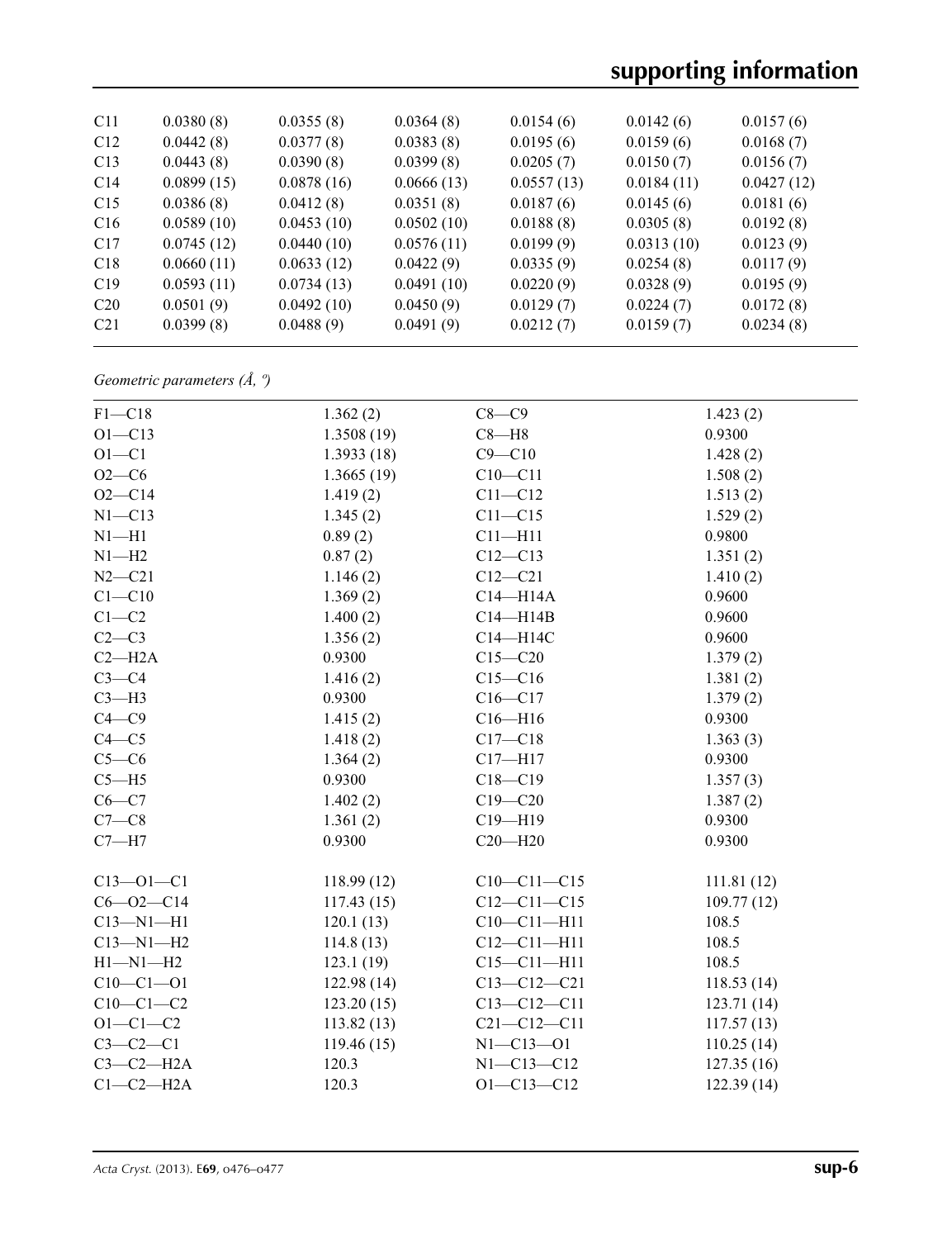# **supporting information**

| C11             | 0.0380(8)  | 0.0355(8)  | 0.0364(8)  | 0.0154(6)  | 0.0142(6)  | 0.0157(6)  |
|-----------------|------------|------------|------------|------------|------------|------------|
| C12             | 0.0442(8)  | 0.0377(8)  | 0.0383(8)  | 0.0195(6)  | 0.0159(6)  | 0.0168(7)  |
| C13             | 0.0443(8)  | 0.0390(8)  | 0.0399(8)  | 0.0205(7)  | 0.0150(7)  | 0.0156(7)  |
| C14             | 0.0899(15) | 0.0878(16) | 0.0666(13) | 0.0557(13) | 0.0184(11) | 0.0427(12) |
| C15             | 0.0386(8)  | 0.0412(8)  | 0.0351(8)  | 0.0187(6)  | 0.0145(6)  | 0.0181(6)  |
| C16             | 0.0589(10) | 0.0453(10) | 0.0502(10) | 0.0188(8)  | 0.0305(8)  | 0.0192(8)  |
| C <sub>17</sub> | 0.0745(12) | 0.0440(10) | 0.0576(11) | 0.0199(9)  | 0.0313(10) | 0.0123(9)  |
| C18             | 0.0660(11) | 0.0633(12) | 0.0422(9)  | 0.0335(9)  | 0.0254(8)  | 0.0117(9)  |
| C19             | 0.0593(11) | 0.0734(13) | 0.0491(10) | 0.0220(9)  | 0.0328(9)  | 0.0195(9)  |
| C <sub>20</sub> | 0.0501(9)  | 0.0492(10) | 0.0450(9)  | 0.0129(7)  | 0.0224(7)  | 0.0172(8)  |
| C <sub>21</sub> | 0.0399(8)  | 0.0488(9)  | 0.0491(9)  | 0.0212(7)  | 0.0159(7)  | 0.0234(8)  |
|                 |            |            |            |            |            |            |

*Geometric parameters (Å, º)*

| $F1 - C18$      | 1.362(2)    | $C8 - C9$         | 1.423(2)    |
|-----------------|-------------|-------------------|-------------|
| $O1 - C13$      | 1.3508(19)  | $C8 - H8$         | 0.9300      |
| $O1 - C1$       | 1.3933(18)  | $C9 - C10$        | 1.428(2)    |
| $O2-C6$         | 1.3665(19)  | $C10 - C11$       | 1.508(2)    |
| $O2 - C14$      | 1.419(2)    | $C11 - C12$       | 1.513(2)    |
| $N1 - C13$      | 1.345(2)    | $C11 - C15$       | 1.529(2)    |
| $N1 - H1$       | 0.89(2)     | $C11 - H11$       | 0.9800      |
| $N1 - H2$       | 0.87(2)     | $C12 - C13$       | 1.351(2)    |
| $N2 - C21$      | 1.146(2)    | $C12 - C21$       | 1.410(2)    |
| $C1 - C10$      | 1.369(2)    | $C14 - H14A$      | 0.9600      |
| $C1-C2$         | 1.400(2)    | $C14 - H14B$      | 0.9600      |
| $C2-C3$         | 1.356(2)    | C14-H14C          | 0.9600      |
| $C2 - H2A$      | 0.9300      | $C15 - C20$       | 1.379(2)    |
| $C3-C4$         | 1.416(2)    | $C15 - C16$       | 1.381(2)    |
| $C3-H3$         | 0.9300      | $C16 - C17$       | 1.379(2)    |
| $C4 - C9$       | 1.415(2)    | $C16 - H16$       | 0.9300      |
| $C4 - C5$       | 1.418(2)    | $C17 - C18$       | 1.363(3)    |
| $C5-C6$         | 1.364(2)    | $C17 - H17$       | 0.9300      |
| $C5 - H5$       | 0.9300      | $C18 - C19$       | 1.357(3)    |
| $C6-C7$         | 1.402(2)    | $C19 - C20$       | 1.387(2)    |
| $C7-C8$         | 1.361(2)    | $C19 - H19$       | 0.9300      |
| $C7 - H7$       | 0.9300      | $C20 - H20$       | 0.9300      |
| $C13 - 01 - C1$ | 118.99(12)  | $C10-C11-C15$     | 111.81(12)  |
| $C6 - O2 - C14$ | 117.43(15)  | $C12 - C11 - C15$ | 109.77(12)  |
| $C13 - N1 - H1$ | 120.1(13)   | $C10 - C11 - H11$ | 108.5       |
| $C13 - N1 - H2$ | 114.8(13)   | $C12 - C11 - H11$ | 108.5       |
| $H1 - N1 - H2$  | 123.1(19)   | $C15 - C11 - H11$ | 108.5       |
| $C10 - C1 - 01$ | 122.98(14)  | $C13 - C12 - C21$ | 118.53(14)  |
| $C10-C1-C2$     | 123.20(15)  | $C13 - C12 - C11$ | 123.71 (14) |
| $O1 - C1 - C2$  | 113.82 (13) | $C21 - C12 - C11$ | 117.57(13)  |
| $C3-C2-C1$      | 119.46(15)  | $N1 - C13 - O1$   | 110.25(14)  |
| $C3-C2-H2A$     | 120.3       | $N1 - C13 - C12$  | 127.35(16)  |
| $C1-C2-H2A$     | 120.3       | $O1 - C13 - C12$  | 122.39(14)  |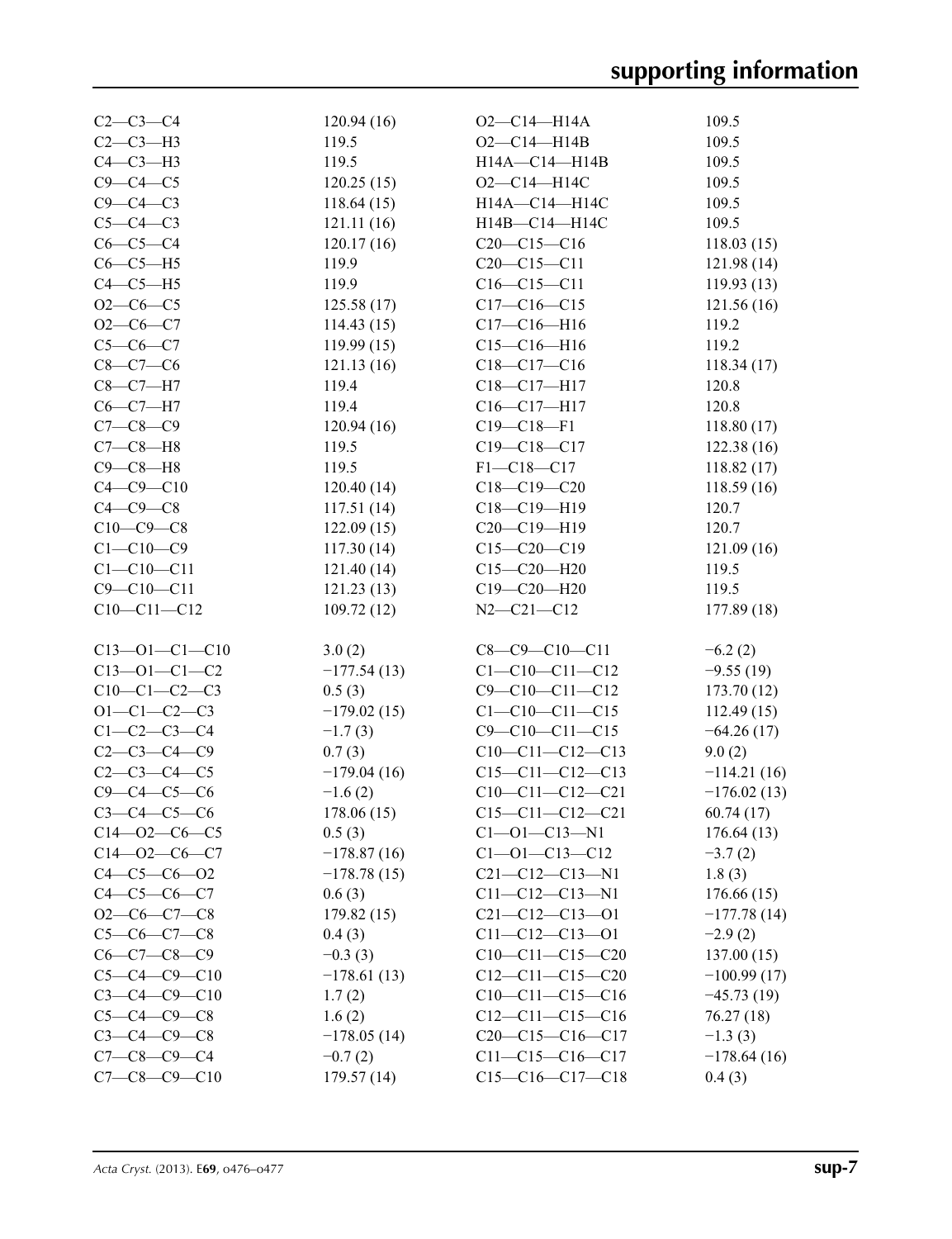| $C2 - C3 - C4$        | 120.94(16)    | $O2-C14-H14A$          | 109.5         |
|-----------------------|---------------|------------------------|---------------|
| $C2-C3-H3$            | 119.5         | $O2 - C14 - H14B$      | 109.5         |
| $C4-C3-H3$            | 119.5         | H14A-C14-H14B          | 109.5         |
| $C9 - C4 - C5$        | 120.25(15)    | $O2 - C14 - H14C$      | 109.5         |
| $C9 - C4 - C3$        | 118.64(15)    | H14A-C14-H14C          | 109.5         |
| $C5-C4-C3$            | 121.11(16)    | H14B-C14-H14C          | 109.5         |
| $C6-C5-C4$            | 120.17(16)    | $C20-C15-C16$          | 118.03(15)    |
| $C6-C5-H5$            | 119.9         | $C20-C15-C11$          | 121.98 (14)   |
| $C4-C5-H5$            | 119.9         | $C16-C15-C11$          | 119.93(13)    |
| $O2-C6-C5$            | 125.58(17)    | $C17-C16-C15$          | 121.56(16)    |
| $O2-C6-C7$            | 114.43(15)    | $C17 - C16 - H16$      | 119.2         |
| $C5-C6-C7$            | 119.99(15)    | $C15-C16-H16$          | 119.2         |
| $C8-C7-C6$            | 121.13(16)    | $C18-C17-C16$          | 118.34(17)    |
| $C8-C7-H7$            | 119.4         | C18-C17-H17            | 120.8         |
| $C6-C7-H7$            | 119.4         | $C16-C17-H17$          | 120.8         |
| $C7 - C8 - C9$        | 120.94(16)    | $C19 - C18 - F1$       | 118.80(17)    |
| $C7-C8-H8$            | 119.5         | $C19 - C18 - C17$      | 122.38(16)    |
| $C9 - C8 - H8$        | 119.5         | $F1 - C18 - C17$       | 118.82(17)    |
| $C4 - C9 - C10$       | 120.40(14)    | $C18 - C19 - C20$      | 118.59(16)    |
| $C4-C9-C8$            | 117.51(14)    | C18-C19-H19            | 120.7         |
| $C10-C9-C8$           | 122.09(15)    | $C20-C19-H19$          | 120.7         |
| $C1 - C10 - C9$       | 117.30(14)    | $C15-C20-C19$          | 121.09(16)    |
| $C1 - C10 - C11$      | 121.40(14)    | $C15 - C20 - H20$      | 119.5         |
| $C9 - C10 - C11$      | 121.23(13)    | C19-C20-H20            | 119.5         |
| $C10-C11-C12$         |               | $N2 - C21 - C12$       | 177.89 (18)   |
|                       | 109.72(12)    |                        |               |
| $C13 - 01 - C1 - C10$ | 3.0(2)        | $C8-C9-C10-C11$        | $-6.2(2)$     |
| $C13 - 01 - C1 - C2$  | $-177.54(13)$ | $C1 - C10 - C11 - C12$ | $-9.55(19)$   |
| $C10-C1-C2-C3$        | 0.5(3)        | $C9 - C10 - C11 - C12$ | 173.70(12)    |
| $O1 - C1 - C2 - C3$   | $-179.02(15)$ | $C1 - C10 - C11 - C15$ | 112.49(15)    |
| $C1 - C2 - C3 - C4$   | $-1.7(3)$     | $C9 - C10 - C11 - C15$ | $-64.26(17)$  |
| $C2 - C3 - C4 - C9$   | 0.7(3)        | $C10-C11-C12-C13$      | 9.0(2)        |
| $C2 - C3 - C4 - C5$   | $-179.04(16)$ | $C15-C11-C12-C13$      | $-114.21(16)$ |
| $C9 - C4 - C5 - C6$   | $-1.6(2)$     | $C10-C11-C12-C21$      | $-176.02(13)$ |
| $C3-C4-C5-C6$         | 178.06(15)    | $C15-C11-C12-C21$      | 60.74(17)     |
| $C14 - 02 - C6 - C5$  | 0.5(3)        | $C1 - 01 - C13 - N1$   | 176.64(13)    |
| $C14 - 02 - C6 - C7$  | $-178.87(16)$ | $C1 - 01 - C13 - C12$  | $-3.7(2)$     |
| $C4 - C5 - C6 - O2$   | $-178.78(15)$ | $C21 - C12 - C13 - N1$ | 1.8(3)        |
| $C4 - C5 - C6 - C7$   | 0.6(3)        | $C11 - C12 - C13 - N1$ | 176.66(15)    |
| $O2-C6-C7-C8$         | 179.82(15)    | $C21-C12-C13-O1$       | $-177.78(14)$ |
| $C5-C6-C7-C8$         | 0.4(3)        | $C11-C12-C13-O1$       | $-2.9(2)$     |
| $C6 - C7 - C8 - C9$   | $-0.3(3)$     | $C10-C11-C15-C20$      | 137.00(15)    |
| $C5 - C4 - C9 - C10$  | $-178.61(13)$ | $C12-C11-C15-C20$      | $-100.99(17)$ |
| $C3 - C4 - C9 - C10$  | 1.7(2)        | $C10-C11-C15-C16$      | $-45.73(19)$  |
| $C5-C4-C9-C8$         | 1.6(2)        | $C12-C11-C15-C16$      | 76.27(18)     |
| $C3 - C4 - C9 - C8$   | $-178.05(14)$ | $C20-C15-C16-C17$      | $-1.3(3)$     |
| $C7 - C8 - C9 - C4$   | $-0.7(2)$     | $C11-C15-C16-C17$      | $-178.64(16)$ |
| $C7-C8-C9-C10$        | 179.57(14)    | $C15-C16-C17-C18$      | 0.4(3)        |
|                       |               |                        |               |